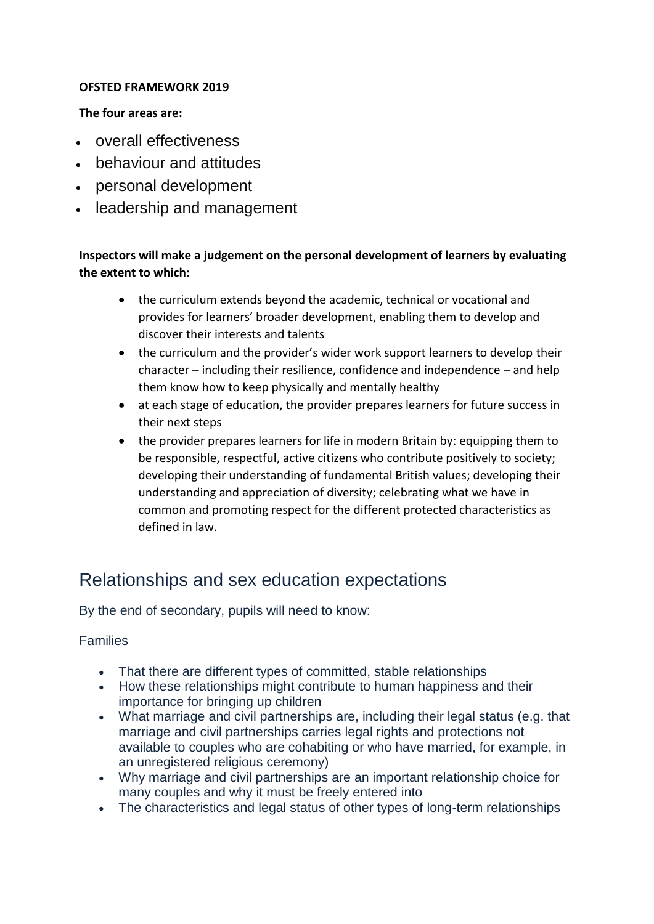#### **OFSTED FRAMEWORK 2019**

#### **The four areas are:**

- overall effectiveness
- behaviour and attitudes
- personal development
- leadership and management

# **Inspectors will make a judgement on the personal development of learners by evaluating the extent to which:**

- the curriculum extends beyond the academic, technical or vocational and provides for learners' broader development, enabling them to develop and discover their interests and talents
- the curriculum and the provider's wider work support learners to develop their character – including their resilience, confidence and independence – and help them know how to keep physically and mentally healthy
- at each stage of education, the provider prepares learners for future success in their next steps
- the provider prepares learners for life in modern Britain by: equipping them to be responsible, respectful, active citizens who contribute positively to society; developing their understanding of fundamental British values; developing their understanding and appreciation of diversity; celebrating what we have in common and promoting respect for the different protected characteristics as defined in law.

# Relationships and sex education expectations

By the end of secondary, pupils will need to know:

#### Families

- That there are different types of committed, stable relationships
- How these relationships might contribute to human happiness and their importance for bringing up children
- What marriage and civil partnerships are, including their legal status (e.g. that marriage and civil partnerships carries legal rights and protections not available to couples who are cohabiting or who have married, for example, in an unregistered religious ceremony)
- Why marriage and civil partnerships are an important relationship choice for many couples and why it must be freely entered into
- The characteristics and legal status of other types of long-term relationships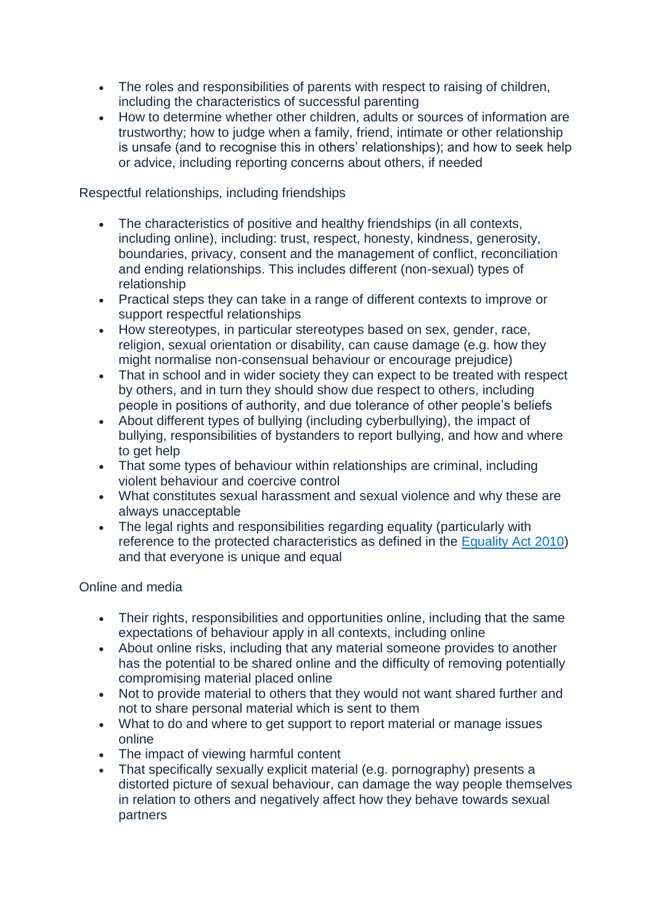- The roles and responsibilities of parents with respect to raising of children, including the characteristics of successful parenting
- How to determine whether other children, adults or sources of information are trustworthy; how to judge when a family, friend, intimate or other relationship is unsafe (and to recognise this in others' relationships); and how to seek help or advice, including reporting concerns about others, if needed

Respectful relationships, including friendships

- The characteristics of positive and healthy friendships (in all contexts, including online), including: trust, respect, honesty, kindness, generosity, boundaries, privacy, consent and the management of conflict, reconciliation and ending relationships. This includes different (non-sexual) types of relationship
- Practical steps they can take in a range of different contexts to improve or support respectful relationships
- How stereotypes, in particular stereotypes based on sex, gender, race, religion, sexual orientation or disability, can cause damage (e.g. how they might normalise non-consensual behaviour or encourage prejudice)
- That in school and in wider society they can expect to be treated with respect by others, and in turn they should show due respect to others, including people in positions of authority, and due tolerance of other people's beliefs
- About different types of bullying (including cyberbullying), the impact of bullying, responsibilities of bystanders to report bullying, and how and where to get help
- That some types of behaviour within relationships are criminal, including violent behaviour and coercive control
- What constitutes sexual harassment and sexual violence and why these are always unacceptable
- The legal rights and responsibilities regarding equality (particularly with reference to the protected characteristics as defined in the [Equality Act 2010\)](https://schoolleaders.thekeysupport.com/administration-and-management/ethos-equality/equality-requirements-and-procedures/equality-act-2010/?marker=content-body) and that everyone is unique and equal

Online and media

- Their rights, responsibilities and opportunities online, including that the same expectations of behaviour apply in all contexts, including online
- About online risks, including that any material someone provides to another has the potential to be shared online and the difficulty of removing potentially compromising material placed online
- Not to provide material to others that they would not want shared further and not to share personal material which is sent to them
- What to do and where to get support to report material or manage issues online
- The impact of viewing harmful content
- That specifically sexually explicit material (e.g. pornography) presents a distorted picture of sexual behaviour, can damage the way people themselves in relation to others and negatively affect how they behave towards sexual partners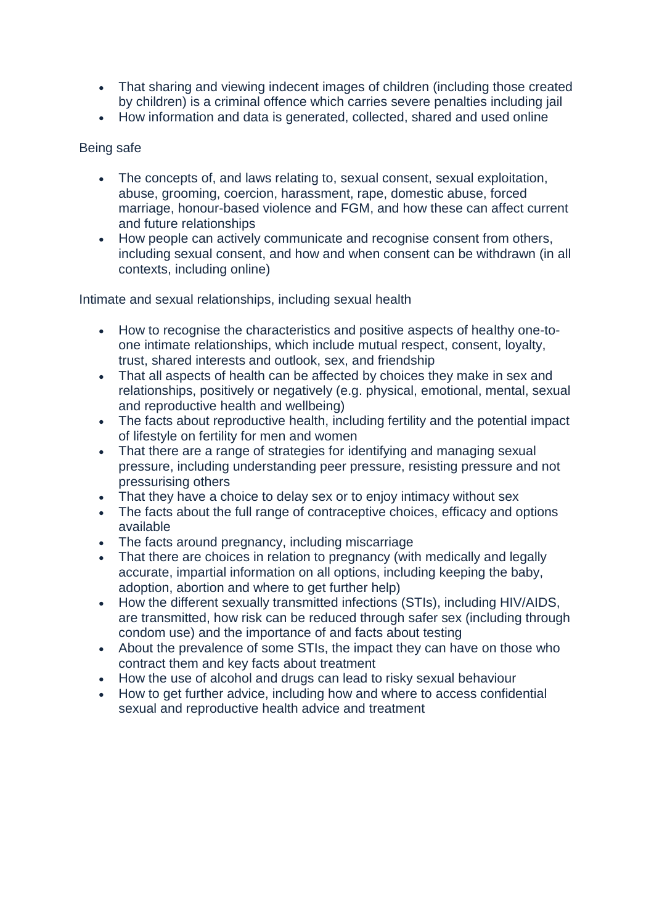- That sharing and viewing indecent images of children (including those created by children) is a criminal offence which carries severe penalties including jail
- How information and data is generated, collected, shared and used online

## Being safe

- The concepts of, and laws relating to, sexual consent, sexual exploitation, abuse, grooming, coercion, harassment, rape, domestic abuse, forced marriage, honour-based violence and FGM, and how these can affect current and future relationships
- How people can actively communicate and recognise consent from others, including sexual consent, and how and when consent can be withdrawn (in all contexts, including online)

Intimate and sexual relationships, including sexual health

- How to recognise the characteristics and positive aspects of healthy one-toone intimate relationships, which include mutual respect, consent, loyalty, trust, shared interests and outlook, sex, and friendship
- That all aspects of health can be affected by choices they make in sex and relationships, positively or negatively (e.g. physical, emotional, mental, sexual and reproductive health and wellbeing)
- The facts about reproductive health, including fertility and the potential impact of lifestyle on fertility for men and women
- That there are a range of strategies for identifying and managing sexual pressure, including understanding peer pressure, resisting pressure and not pressurising others
- That they have a choice to delay sex or to enjoy intimacy without sex
- The facts about the full range of contraceptive choices, efficacy and options available
- The facts around pregnancy, including miscarriage
- That there are choices in relation to pregnancy (with medically and legally accurate, impartial information on all options, including keeping the baby, adoption, abortion and where to get further help)
- How the different sexually transmitted infections (STIs), including HIV/AIDS, are transmitted, how risk can be reduced through safer sex (including through condom use) and the importance of and facts about testing
- About the prevalence of some STIs, the impact they can have on those who contract them and key facts about treatment
- How the use of alcohol and drugs can lead to risky sexual behaviour
- How to get further advice, including how and where to access confidential sexual and reproductive health advice and treatment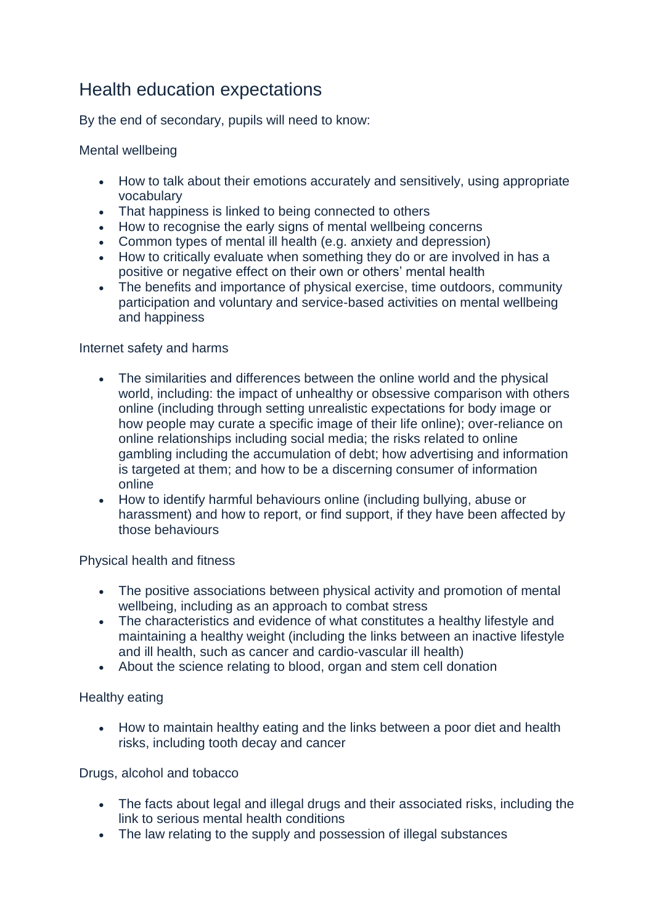# Health education expectations

By the end of secondary, pupils will need to know:

Mental wellbeing

- How to talk about their emotions accurately and sensitively, using appropriate vocabulary
- That happiness is linked to being connected to others
- How to recognise the early signs of mental wellbeing concerns
- Common types of mental ill health (e.g. anxiety and depression)
- How to critically evaluate when something they do or are involved in has a positive or negative effect on their own or others' mental health
- The benefits and importance of physical exercise, time outdoors, community participation and voluntary and service-based activities on mental wellbeing and happiness

### Internet safety and harms

- The similarities and differences between the online world and the physical world, including: the impact of unhealthy or obsessive comparison with others online (including through setting unrealistic expectations for body image or how people may curate a specific image of their life online); over-reliance on online relationships including social media; the risks related to online gambling including the accumulation of debt; how advertising and information is targeted at them; and how to be a discerning consumer of information online
- How to identify harmful behaviours online (including bullying, abuse or harassment) and how to report, or find support, if they have been affected by those behaviours

Physical health and fitness

- The positive associations between physical activity and promotion of mental wellbeing, including as an approach to combat stress
- The characteristics and evidence of what constitutes a healthy lifestyle and maintaining a healthy weight (including the links between an inactive lifestyle and ill health, such as cancer and cardio-vascular ill health)
- About the science relating to blood, organ and stem cell donation

Healthy eating

• How to maintain healthy eating and the links between a poor diet and health risks, including tooth decay and cancer

Drugs, alcohol and tobacco

- The facts about legal and illegal drugs and their associated risks, including the link to serious mental health conditions
- The law relating to the supply and possession of illegal substances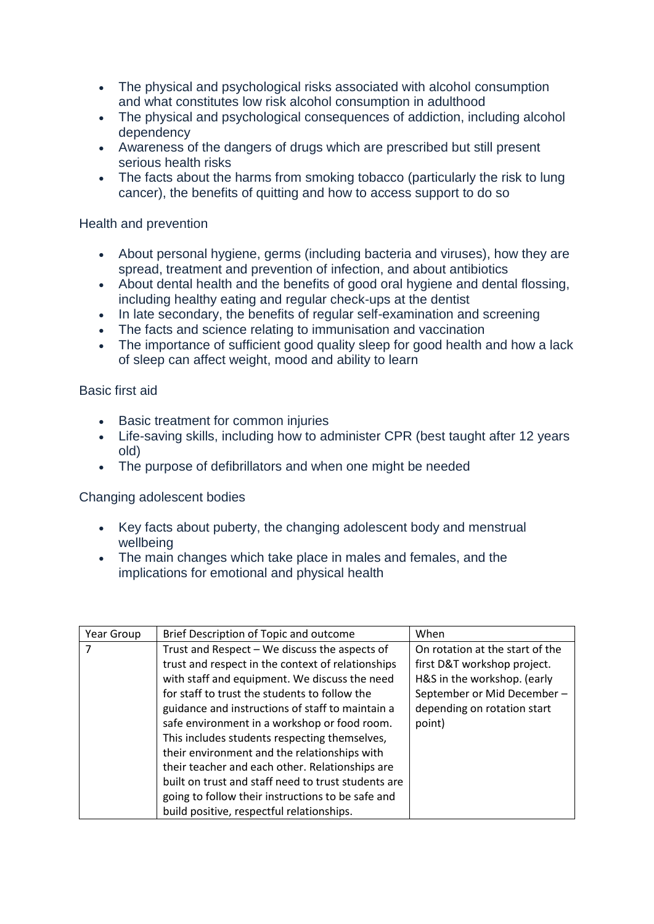- The physical and psychological risks associated with alcohol consumption and what constitutes low risk alcohol consumption in adulthood
- The physical and psychological consequences of addiction, including alcohol dependency
- Awareness of the dangers of drugs which are prescribed but still present serious health risks
- The facts about the harms from smoking tobacco (particularly the risk to lung cancer), the benefits of quitting and how to access support to do so

Health and prevention

- About personal hygiene, germs (including bacteria and viruses), how they are spread, treatment and prevention of infection, and about antibiotics
- About dental health and the benefits of good oral hygiene and dental flossing, including healthy eating and regular check-ups at the dentist
- In late secondary, the benefits of regular self-examination and screening
- The facts and science relating to immunisation and vaccination
- The importance of sufficient good quality sleep for good health and how a lack of sleep can affect weight, mood and ability to learn

Basic first aid

- Basic treatment for common injuries
- Life-saving skills, including how to administer CPR (best taught after 12 years old)
- The purpose of defibrillators and when one might be needed

Changing adolescent bodies

- Key facts about puberty, the changing adolescent body and menstrual wellbeing
- The main changes which take place in males and females, and the implications for emotional and physical health

| Year Group | Brief Description of Topic and outcome              | When                            |
|------------|-----------------------------------------------------|---------------------------------|
|            | Trust and Respect - We discuss the aspects of       | On rotation at the start of the |
|            | trust and respect in the context of relationships   | first D&T workshop project.     |
|            | with staff and equipment. We discuss the need       | H&S in the workshop. (early     |
|            | for staff to trust the students to follow the       | September or Mid December-      |
|            | guidance and instructions of staff to maintain a    | depending on rotation start     |
|            | safe environment in a workshop or food room.        | point)                          |
|            | This includes students respecting themselves,       |                                 |
|            | their environment and the relationships with        |                                 |
|            | their teacher and each other. Relationships are     |                                 |
|            | built on trust and staff need to trust students are |                                 |
|            | going to follow their instructions to be safe and   |                                 |
|            | build positive, respectful relationships.           |                                 |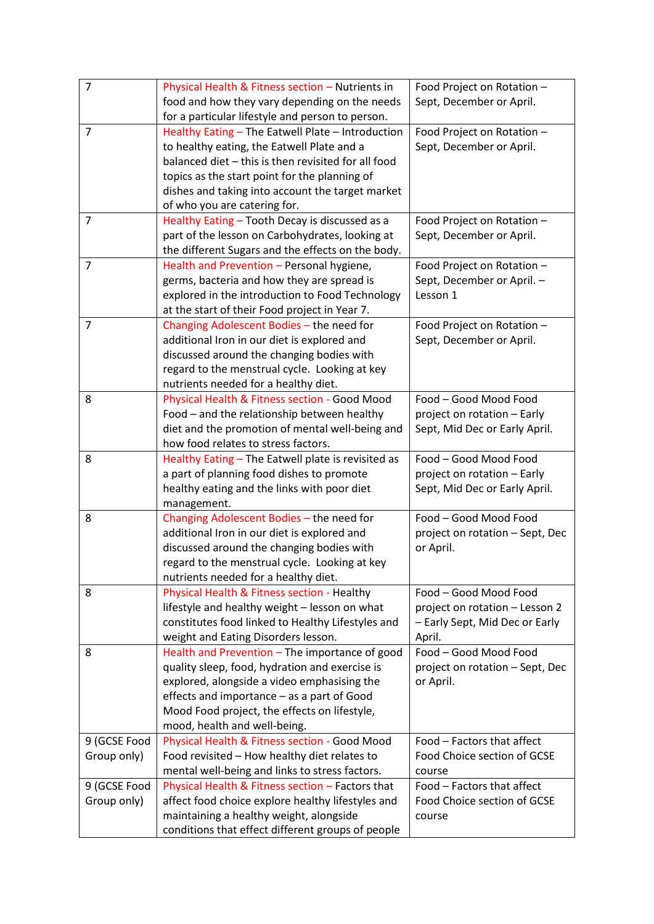| $\overline{7}$ | Physical Health & Fitness section - Nutrients in    | Food Project on Rotation -      |
|----------------|-----------------------------------------------------|---------------------------------|
|                | food and how they vary depending on the needs       | Sept, December or April.        |
|                | for a particular lifestyle and person to person.    |                                 |
| 7              | Healthy Eating - The Eatwell Plate - Introduction   | Food Project on Rotation -      |
|                | to healthy eating, the Eatwell Plate and a          | Sept, December or April.        |
|                | balanced diet - this is then revisited for all food |                                 |
|                | topics as the start point for the planning of       |                                 |
|                | dishes and taking into account the target market    |                                 |
|                | of who you are catering for.                        |                                 |
| 7              | Healthy Eating - Tooth Decay is discussed as a      | Food Project on Rotation -      |
|                | part of the lesson on Carbohydrates, looking at     | Sept, December or April.        |
|                | the different Sugars and the effects on the body.   |                                 |
| 7              | Health and Prevention - Personal hygiene,           | Food Project on Rotation -      |
|                | germs, bacteria and how they are spread is          | Sept, December or April. -      |
|                | explored in the introduction to Food Technology     | Lesson 1                        |
|                | at the start of their Food project in Year 7.       |                                 |
| 7              | Changing Adolescent Bodies - the need for           | Food Project on Rotation -      |
|                | additional Iron in our diet is explored and         | Sept, December or April.        |
|                | discussed around the changing bodies with           |                                 |
|                | regard to the menstrual cycle. Looking at key       |                                 |
|                | nutrients needed for a healthy diet.                |                                 |
| 8              | Physical Health & Fitness section - Good Mood       | Food - Good Mood Food           |
|                | Food - and the relationship between healthy         | project on rotation - Early     |
|                | diet and the promotion of mental well-being and     | Sept, Mid Dec or Early April.   |
|                | how food relates to stress factors.                 |                                 |
| 8              | Healthy Eating - The Eatwell plate is revisited as  | Food - Good Mood Food           |
|                | a part of planning food dishes to promote           | project on rotation - Early     |
|                | healthy eating and the links with poor diet         | Sept, Mid Dec or Early April.   |
|                | management.                                         |                                 |
| 8              | Changing Adolescent Bodies - the need for           | Food - Good Mood Food           |
|                | additional Iron in our diet is explored and         | project on rotation - Sept, Dec |
|                | discussed around the changing bodies with           | or April.                       |
|                | regard to the menstrual cycle. Looking at key       |                                 |
|                | nutrients needed for a healthy diet.                |                                 |
| 8              | Physical Health & Fitness section - Healthy         | Food - Good Mood Food           |
|                | lifestyle and healthy weight - lesson on what       | project on rotation - Lesson 2  |
|                | constitutes food linked to Healthy Lifestyles and   | - Early Sept, Mid Dec or Early  |
|                | weight and Eating Disorders lesson.                 | April.                          |
| 8              | Health and Prevention - The importance of good      | Food - Good Mood Food           |
|                | quality sleep, food, hydration and exercise is      | project on rotation - Sept, Dec |
|                | explored, alongside a video emphasising the         | or April.                       |
|                | effects and importance - as a part of Good          |                                 |
|                | Mood Food project, the effects on lifestyle,        |                                 |
|                | mood, health and well-being.                        |                                 |
| 9 (GCSE Food   | Physical Health & Fitness section - Good Mood       | Food - Factors that affect      |
| Group only)    | Food revisited - How healthy diet relates to        | Food Choice section of GCSE     |
|                | mental well-being and links to stress factors.      | course                          |
| 9 (GCSE Food   | Physical Health & Fitness section - Factors that    | Food - Factors that affect      |
| Group only)    | affect food choice explore healthy lifestyles and   | Food Choice section of GCSE     |
|                | maintaining a healthy weight, alongside             | course                          |
|                | conditions that effect different groups of people   |                                 |